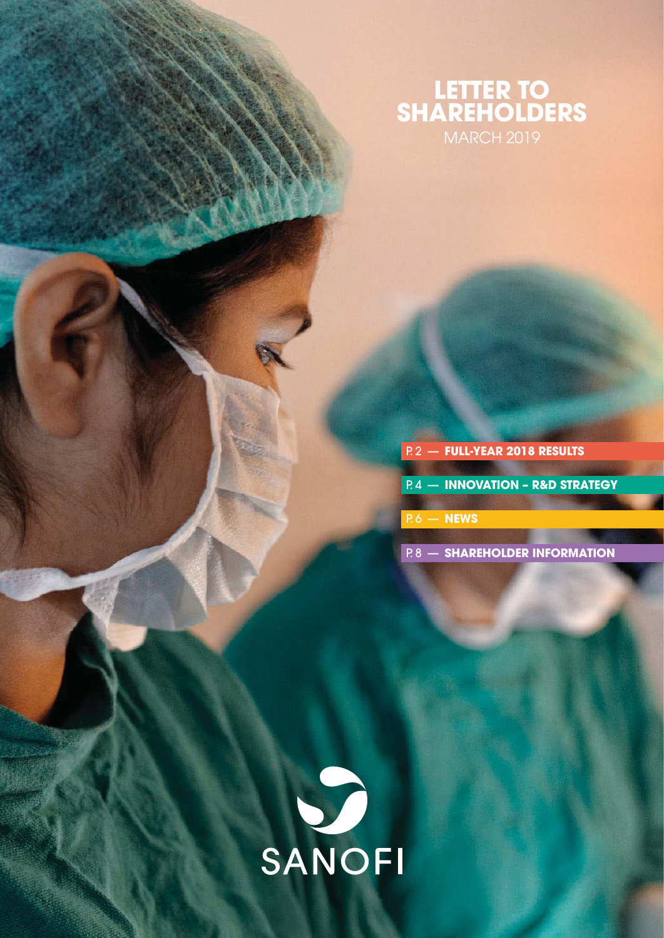# **LETTER TO SHAREHOLDERS** MARCH 2019

# P. 2 — **[FULL-YEAR 2018 RESULTS](#page-1-0)** P. 4 — **[INNOVATION – R&D STRATEGY](#page-3-0)**

[P. 6 —](#page-5-0) **NEWS**

P. 8 — **[SHAREHOLDER INFORMATION](#page-7-0)**

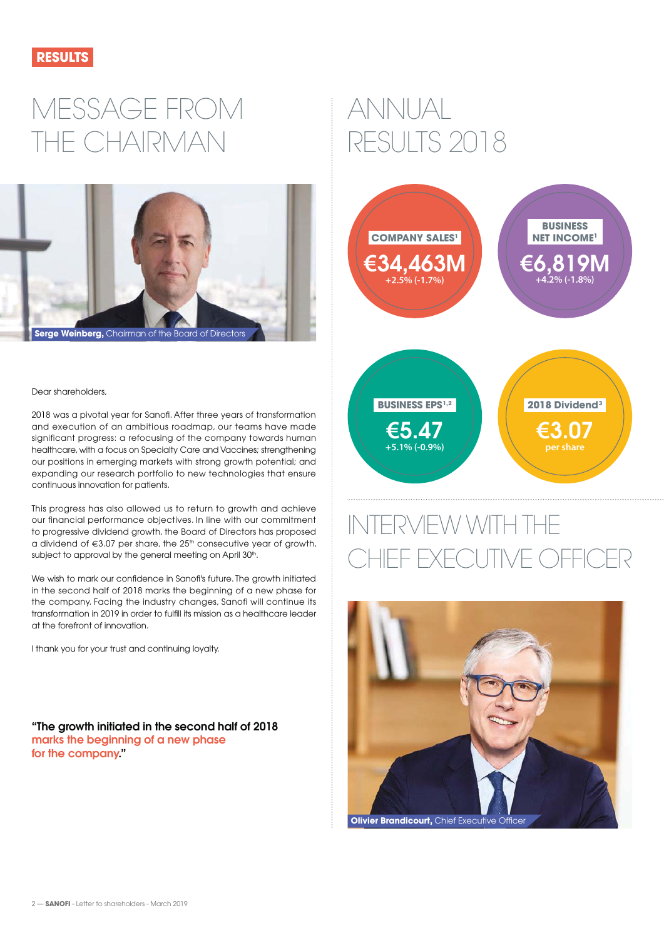<span id="page-1-0"></span>

# MESSAGE FROM THE CHAIRMAN



#### Dear shareholders,

2018 was a pivotal year for Sanofi. After three years of transformation and execution of an ambitious roadmap, our teams have made significant progress: a refocusing of the company towards human healthcare, with a focus on Specialty Care and Vaccines; strengthening our positions in emerging markets with strong growth potential; and expanding our research portfolio to new technologies that ensure continuous innovation for patients.

This progress has also allowed us to return to growth and achieve our financial performance objectives. In line with our commitment to progressive dividend growth, the Board of Directors has proposed a dividend of  $63.07$  per share, the  $25<sup>th</sup>$  consecutive year of growth, subject to approval by the general meeting on April 30<sup>th</sup>.

We wish to mark our confidence in Sanofi's future. The growth initiated in the second half of 2018 marks the beginning of a new phase for the company. Facing the industry changes, Sanofi will continue its transformation in 2019 in order to fulfill its mission as a healthcare leader at the forefront of innovation.

I thank you for your trust and continuing loyalty.

**"The growth initiated in the second half of 2018 marks the beginning of a new phase for the company."**

# ANNUAL RESULTS 2018



# INTERVIEW WITH THE HIEF EXECUTIVE OFFICER

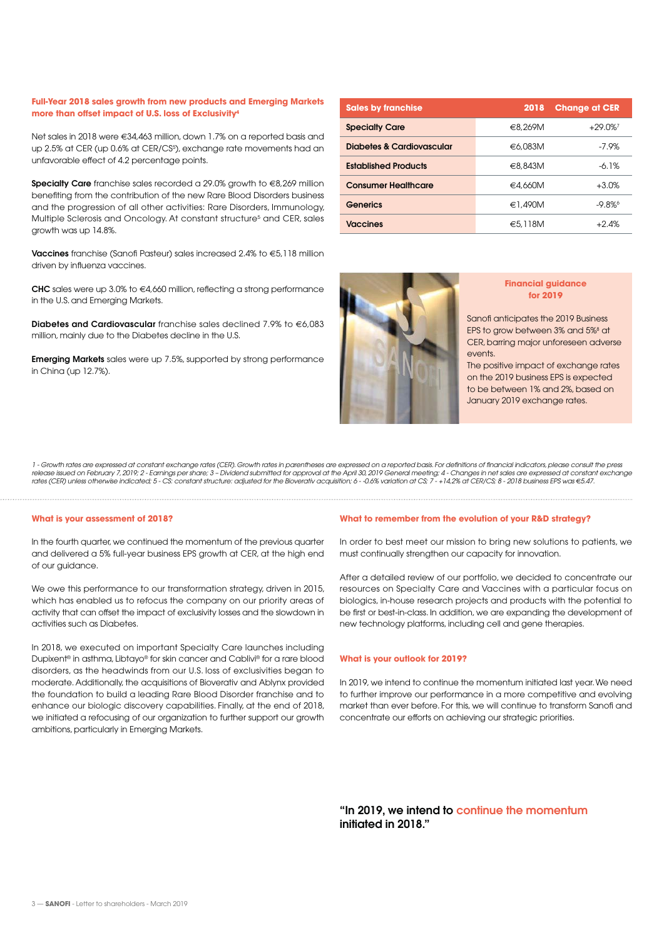#### **Full-Year 2018 sales growth from new products and Emerging Markets more than offset impact of U.S. loss of Exclusivity4**

Net sales in 2018 were €34,463 million, down 1.7% on a reported basis and up 2.5% at CER (up 0.6% at CER/CS<sup>5</sup>), exchange rate movements had an unfavorable effect of 4.2 percentage points.

**Specialty Care** franchise sales recorded a 29.0% growth to €8,269 million benefiting from the contribution of the new Rare Blood Disorders business and the progression of all other activities: Rare Disorders, Immunology, Multiple Sclerosis and Oncology. At constant structure<sup>5</sup> and CER, sales growth was up 14.8%.

**Vaccines** franchise (Sanofi Pasteur) sales increased 2.4% to €5,118 million driven by influenza vaccines.

**CHC** sales were up 3.0% to €4,660 million, reflecting a strong performance in the U.S. and Emerging Markets.

**Diabetes and Cardiovascular** franchise sales declined 7.9% to €6,083 million, mainly due to the Diabetes decline in the U.S.

**Emerging Markets** sales were up 7.5%, supported by strong performance in China (up 12.7%).

| <b>Sales by franchise</b>   | 2018    | <b>Change at CER</b> |
|-----------------------------|---------|----------------------|
| <b>Specialty Care</b>       | €8,269M | $+29.0\%$            |
| Diabetes & Cardiovascular   | €6,083M | $-7.9%$              |
| <b>Established Products</b> | €8,843M | $-6.1%$              |
| <b>Consumer Healthcare</b>  | €4,660M | $+3.0%$              |
| Generics                    | €1,490M | $-9.8%$              |
| <b>Vaccines</b>             | €5.118M | $+2.4\%$             |



#### **Financial guidance for 2019**

Sanofi anticipates the 2019 Business EPS to grow between 3% and 5%<sup>8</sup> at CER, barring major unforeseen adverse events.

The positive impact of exchange rates on the 2019 business EPS is expected to be between 1% and 2%, based on January 2019 exchange rates.

1 - Growth rates are expressed at constant exchange rates (CER). Growth rates in parentheses are expressed on a reported basis. For definitions of financial indicators, please consult the press<br>release issued on February 7

#### **What is your assessment of 2018?**

In the fourth quarter, we continued the momentum of the previous quarter and delivered a 5% full-year business EPS growth at CER, at the high end of our guidance.

We owe this performance to our transformation strategy, driven in 2015, which has enabled us to refocus the company on our priority areas of activity that can offset the impact of exclusivity losses and the slowdown in activities such as Diabetes.

In 2018, we executed on important Specialty Care launches including Dupixent® in asthma, Libtayo® for skin cancer and Cablivi® for a rare blood disorders, as the headwinds from our U.S. loss of exclusivities began to moderate. Additionally, the acquisitions of Bioverativ and Ablynx provided the foundation to build a leading Rare Blood Disorder franchise and to enhance our biologic discovery capabilities. Finally, at the end of 2018, we initiated a refocusing of our organization to further support our growth ambitions, particularly in Emerging Markets.

#### **What to remember from the evolution of your R&D strategy?**

In order to best meet our mission to bring new solutions to patients, we must continually strengthen our capacity for innovation.

After a detailed review of our portfolio, we decided to concentrate our resources on Specialty Care and Vaccines with a particular focus on biologics, in-house research projects and products with the potential to be first or best-in-class. In addition, we are expanding the development of new technology platforms, including cell and gene therapies.

#### **What is your outlook for 2019?**

In 2019, we intend to continue the momentum initiated last year. We need to further improve our performance in a more competitive and evolving market than ever before. For this, we will continue to transform Sanofi and concentrate our efforts on achieving our strategic priorities.

**"In 2019, we intend to continue the momentum initiated in 2018."**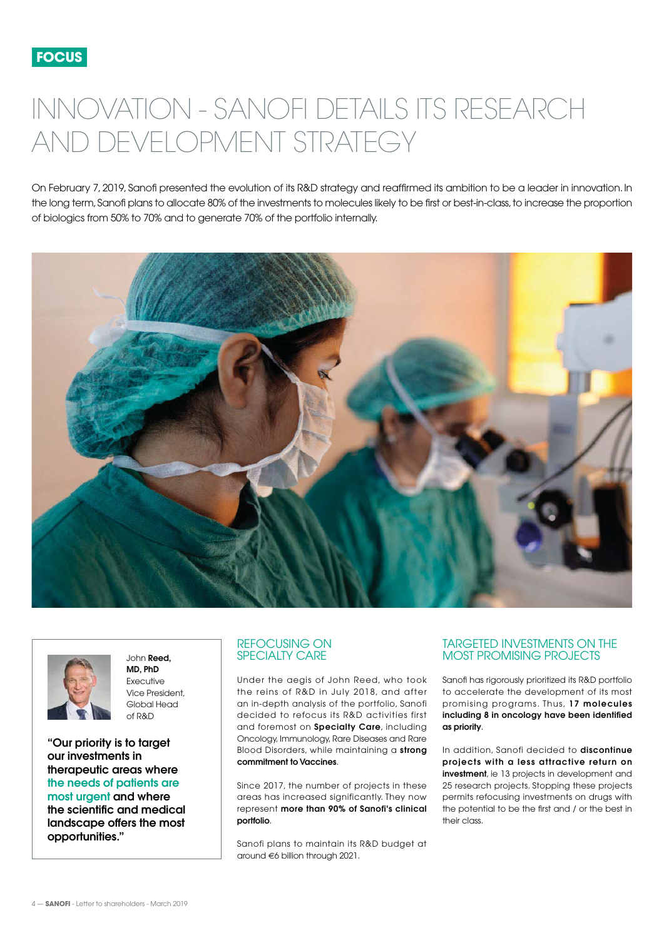# <span id="page-3-0"></span>INNOVATION - SANOFI DETAILS ITS RESEARCH AND DEVELOPMENT STRATEGY

On February 7, 2019, Sanofi presented the evolution of its R&D strategy and reaffirmed its ambition to be a leader in innovation. In the long term, Sanofi plans to allocate 80% of the investments to molecules likely to be first or best-in-class, to increase the proportion of biologics from 50% to 70% and to generate 70% of the portfolio internally.





John **Reed, MD, PhD** Executive Vice President, Global Head of R&D

**"Our priority is to target our investments in therapeutic areas where the needs of patients are most urgent and where the scientific and medical landscape offers the most opportunities."** 

### REFOCUSING ON SPECIALTY CARE

Under the aegis of John Reed, who took the reins of R&D in July 2018, and after an in-depth analysis of the portfolio, Sanofi decided to refocus its R&D activities first and foremost on **Specialty Care**, including Oncology, Immunology, Rare Diseases and Rare Blood Disorders, while maintaining a **strong commitment to Vaccines**.

Since 2017, the number of projects in these areas has increased significantly. They now represent **more than 90% of Sanofi's clinical portfolio**.

Sanofi plans to maintain its R&D budget at around €6 billion through 2021.

### TARGETED INVESTMENTS ON THE MOST PROMISING PROJECTS

Sanofi has rigorously prioritized its R&D portfolio to accelerate the development of its most promising programs. Thus, **17 molecules including 8 in oncology have been identified as priority**.

In addition, Sanofi decided to **discontinue projects with a less attractive return on investment**, ie 13 projects in development and 25 research projects. Stopping these projects permits refocusing investments on drugs with the potential to be the first and / or the best in their class.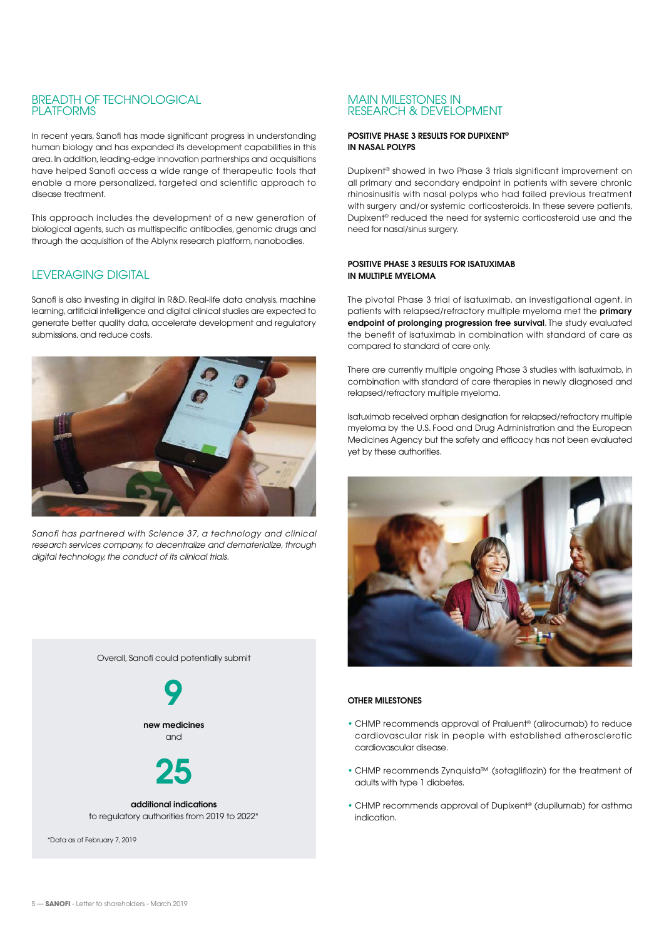## BREADTH OF TECHNOLOGICAL PLATFORMS

In recent years, Sanofi has made significant progress in understanding human biology and has expanded its development capabilities in this area. In addition, leading-edge innovation partnerships and acquisitions have helped Sanofi access a wide range of therapeutic tools that enable a more personalized, targeted and scientific approach to disease treatment.

This approach includes the development of a new generation of biological agents, such as multispecific antibodies, genomic drugs and through the acquisition of the Ablynx research platform, nanobodies.

# LEVERAGING DIGITAL

Sanofi is also investing in digital in R&D. Real-life data analysis, machine learning, artificial intelligence and digital clinical studies are expected to generate better quality data, accelerate development and regulatory submissions, and reduce costs.



Sanofi has partnered with Science 37, a technology and clinical research services company, to decentralize and dematerialize, through digital technology, the conduct of its clinical trials.



#### MAIN MILESTONES IN RESEARCH & DEVELOPMENT

#### **POSITIVE PHASE 3 RESULTS FOR DUPIXENT® IN NASAL POLYPS**

Dupixent® showed in two Phase 3 trials significant improvement on all primary and secondary endpoint in patients with severe chronic rhinosinusitis with nasal polyps who had failed previous treatment with surgery and/or systemic corticosteroids. In these severe patients, Dupixent® reduced the need for systemic corticosteroid use and the need for nasal/sinus surgery.

#### **POSITIVE PHASE 3 RESULTS FOR ISATUXIMAB IN MULTIPLE MYELOMA**

The pivotal Phase 3 trial of isatuximab, an investigational agent, in patients with relapsed/refractory multiple myeloma met the **primary endpoint of prolonging progression free survival**. The study evaluated the benefit of isatuximab in combination with standard of care as compared to standard of care only.

There are currently multiple ongoing Phase 3 studies with isatuximab, in combination with standard of care therapies in newly diagnosed and relapsed/refractory multiple myeloma.

Isatuximab received orphan designation for relapsed/refractory multiple myeloma by the U.S. Food and Drug Administration and the European Medicines Agency but the safety and efficacy has not been evaluated yet by these authorities.



#### **OTHER MILESTONES**

- CHMP recommends approval of Praluent® (alirocumab) to reduce cardiovascular risk in people with established atherosclerotic cardiovascular disease.
- CHMP recommends Zynquista™ (sotagliflozin) for the treatment of adults with type 1 diabetes.
- CHMP recommends approval of Dupixent® (dupilumab) for asthma indication.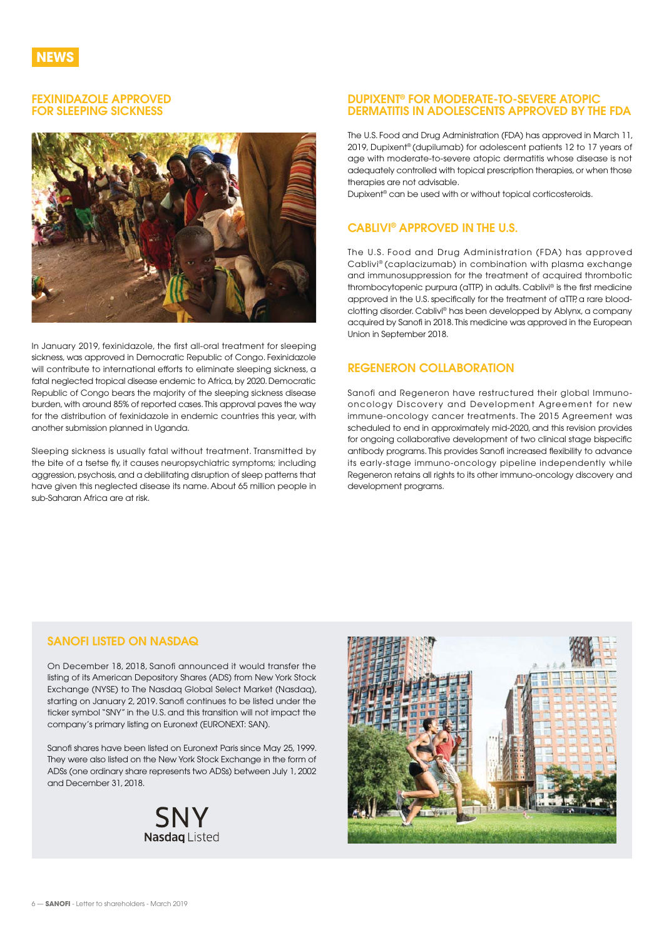### <span id="page-5-0"></span>**FEXINIDAZOLE APPROVED FOR SLEEPING SICKNESS**



In January 2019, fexinidazole, the first all-oral treatment for sleeping sickness, was approved in Democratic Republic of Congo. Fexinidazole will contribute to international efforts to eliminate sleeping sickness, a fatal neglected tropical disease endemic to Africa, by 2020. Democratic Republic of Congo bears the majority of the sleeping sickness disease burden, with around 85% of reported cases. This approval paves the way for the distribution of fexinidazole in endemic countries this year, with another submission planned in Uganda.

Sleeping sickness is usually fatal without treatment. Transmitted by the bite of a tsetse fly, it causes neuropsychiatric symptoms; including aggression, psychosis, and a debilitating disruption of sleep patterns that have given this neglected disease its name. About 65 million people in sub-Saharan Africa are at risk.

#### **DUPIXENT® FOR MODERATE-TO-SEVERE ATOPIC DERMATITIS IN ADOLESCENTS APPROVED BY THE FDA**

The U.S. Food and Drug Administration (FDA) has approved in March 11, 2019, Dupixent® (dupilumab) for adolescent patients 12 to 17 years of age with moderate-to-severe atopic dermatitis whose disease is not adequately controlled with topical prescription therapies, or when those therapies are not advisable.

Dupixent® can be used with or without topical corticosteroids.

# **CABLIVI® APPROVED IN THE U.S.**

The U.S. Food and Drug Administration (FDA) has approved Cablivi® (caplacizumab) in combination with plasma exchange and immunosuppression for the treatment of acquired thrombotic thrombocytopenic purpura (aTTP) in adults. Cablivi® is the first medicine approved in the U.S. specifically for the treatment of aTTP, a rare bloodclotting disorder. Cablivi® has been developped by Ablynx, a company acquired by Sanofi in 2018. This medicine was approved in the European Union in September 2018.

# **REGENERON COLLABORATION**

Sanofi and Regeneron have restructured their global Immunooncology Discovery and Development Agreement for new immune-oncology cancer treatments. The 2015 Agreement was scheduled to end in approximately mid-2020, and this revision provides for ongoing collaborative development of two clinical stage bispecific antibody programs. This provides Sanofi increased flexibility to advance its early-stage immuno-oncology pipeline independently while Regeneron retains all rights to its other immuno-oncology discovery and development programs.

# **SANOFI LISTED ON NASDAQ**

On December 18, 2018, Sanofi announced it would transfer the listing of its American Depository Shares (ADS) from New York Stock Exchange (NYSE) to The Nasdaq Global Select Market (Nasdaq), starting on January 2, 2019. Sanofi continues to be listed under the ticker symbol "SNY" in the U.S. and this transition will not impact the company's primary listing on Euronext (EURONEXT: SAN).

Sanofi shares have been listed on Euronext Paris since May 25, 1999. They were also listed on the New York Stock Exchange in the form of ADSs (one ordinary share represents two ADSs) between July 1, 2002 and December 31, 2018.



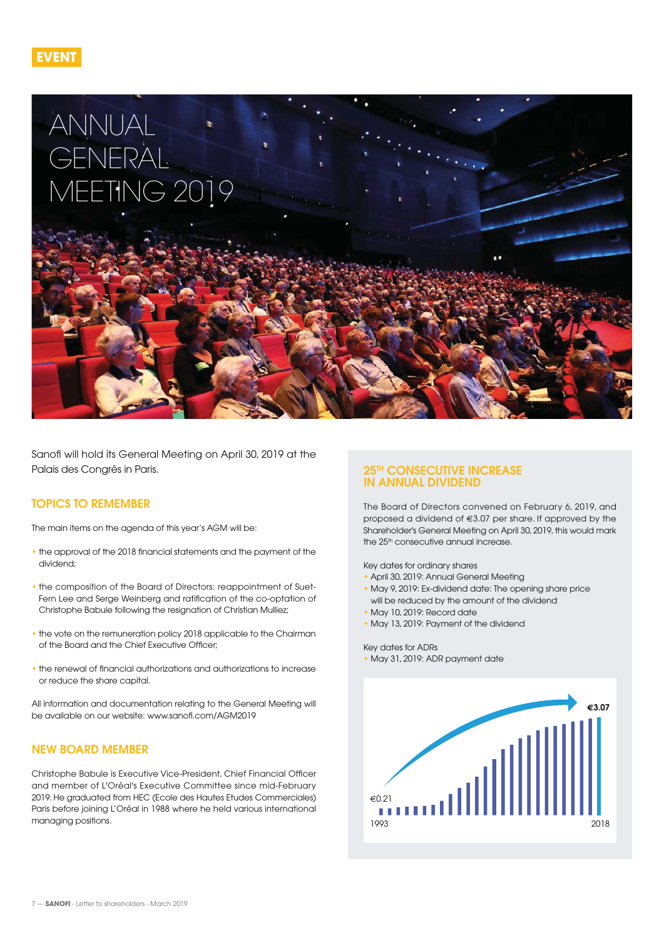



Sanofi will hold its General Meeting on April 30, 2019 at the Palais des Congrès in Paris.

## **TOPICS TO REMEMBER**

The main items on the agenda of this year's AGM will be:

- the approval of the 2018 financial statements and the payment of the dividend;
- the composition of the Board of Directors: reappointment of Suet-Fern Lee and Serge Weinberg and ratification of the co-optation of Christophe Babule following the resignation of Christian Mulliez;
- the vote on the remuneration policy 2018 applicable to the Chairman of the Board and the Chief Executive Officer;
- the renewal of financial authorizations and authorizations to increase or reduce the share capital.

All information and documentation relating to the General Meeting will be available on our website: [www.sanofi.com/AGM2019](http://www.sanofi.com/AGM2019)

# **NEW BOARD MEMBER**

Christophe Babule is Executive Vice-President, Chief Financial Officer and member of L'Oréal's Executive Committee since mid-February 2019. He graduated from HEC (Ecole des Hautes Etudes Commerciales) Paris before joining L'Oréal in 1988 where he held various international managing positions.

### **25TH CONSECUTIVE INCREASE IN ANNUAL DIVIDEND**

The Board of Directors convened on February 6, 2019, and proposed a dividend of €3.07 per share. If approved by the Shareholder's General Meeting on April 30, 2019, this would mark the 25<sup>th</sup> consecutive annual increase.

Key dates for ordinary shares

- April 30, 2019: Annual General Meeting
- May 9, 2019: Ex-dividend date: The opening share price will be reduced by the amount of the dividend
- May 10, 2019: Record date
- May 13, 2019: Payment of the dividend

#### Key dates for ADRs • May 31, 2019: ADR payment date

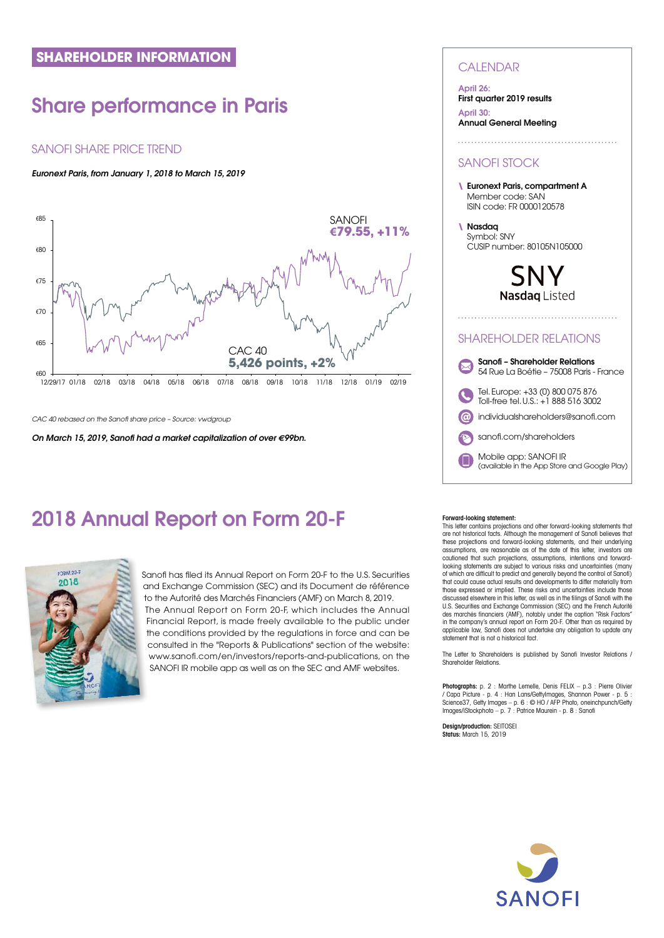# <span id="page-7-0"></span>**Share performance in Paris**

# SANOFI SHARE PRICE TREND

## **Euronext Paris, from January 1, 2018 to March 15, 2019**



CAC 40 rebased on the Sanofi share price – Source: vwdgroup

**On March 15, 2019, Sanofi had a market capitalization of over €99bn.** 

# **2018 Annual Report on Form 20-F**



Sanofi has filed its Annual Report on Form 20-F to the U.S. Securities Sa and Exchange Commission (SEC) and its Document de référence a to the Autorité des Marchés Financiers (AMF) on March 8, 2019. to The Annual Report on Form 20-F, which includes the Annual T Financial Report, is made freely available to the public under F the conditions provided by the regulations in force and can be consulted in the "Reports & Publications" section of the website: c [www.sanofi.com/en/investors/reports-and-publications](http://www.sanofi.com/en/investors/reports-and-publications), on the SANOFI IR mobile app as well as on the SEC and AMF websites.

## **CALENDAR**

#### **April 26:**

**First quarter 2019 results**

**April 30: Annual General Meeting**

# SANOFI STOCK

**\ Euronext Paris, compartment A**  Member code: SAN ISIN code: FR 0000120578

**\ Nasdaq**  Symbol: SNY CUSIP number: 80105N105000

> SNV Nasdag Listed

# SHAREHOLDER RELATIONS



#### **Forward-looking statement:**

This letter contains projections and other forward-looking statements that are not historical facts. Although the management of Sanofi believes that these projections and forward-looking statements, and their underlying assumptions, are reasonable as of the date of this letter, investors are cautioned that such projections, assumptions, intentions and forwardlooking statements are subject to various risks and uncertainties (many of which are difficult to predict and generally beyond the control of Sanofi) that could cause actual results and developments to differ materially from those expressed or implied. These risks and uncertainties include those discussed elsewhere in this letter, as well as in the filings of Sanofi with the U.S. Securities and Exchange Commission (SEC) and the French Autorité des marchés financiers (AMF), notably under the caption "Risk Factors" in the company's annual report on Form 20-F. Other than as required by applicable law, Sanofi does not undertake any obligation to update any statement that is not a historical fact.

The Letter to Shareholders is published by Sanofi Investor Relations / Shareholder Relations.

**Photographs:** p. 2 : Marthe Lemelle, Denis FELIX – p.3 : Pierre Olivier / Capa Picture - p. 4 : Han Lans/GettyImages, Shannon Power - p. 5 : Science37, Getty Images – p. 6 : © HO / AFP Photo, oneinchpunch/Getty Images/iStockphoto – p. 7 : Patrice Maurein - p. 8 : Sanofi

**Design/production:** SEITOSEI **Status:** March 15, 2019